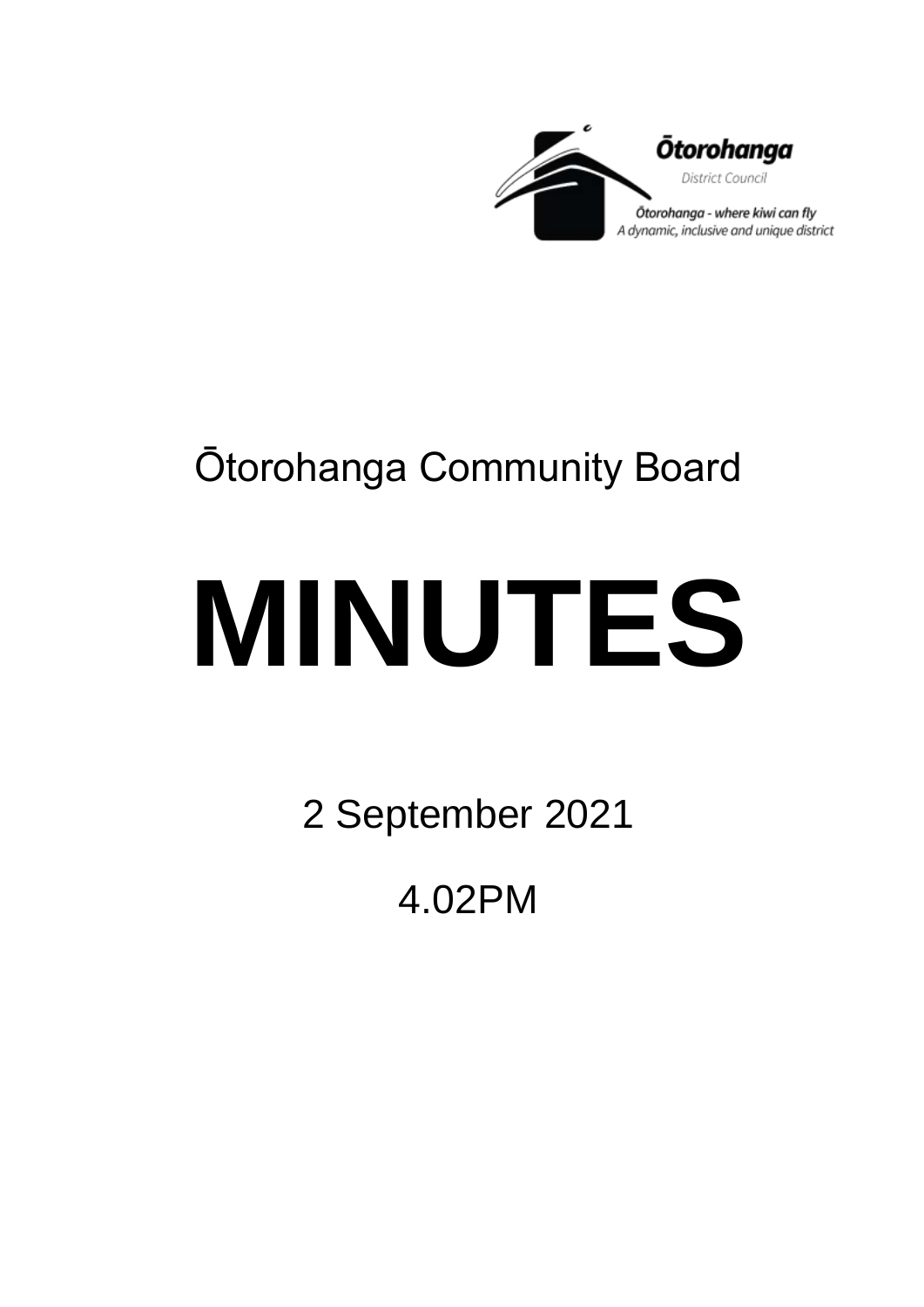

## Ōtorohanga Community Board

# **MINUTES**

2 September 2021

4.02PM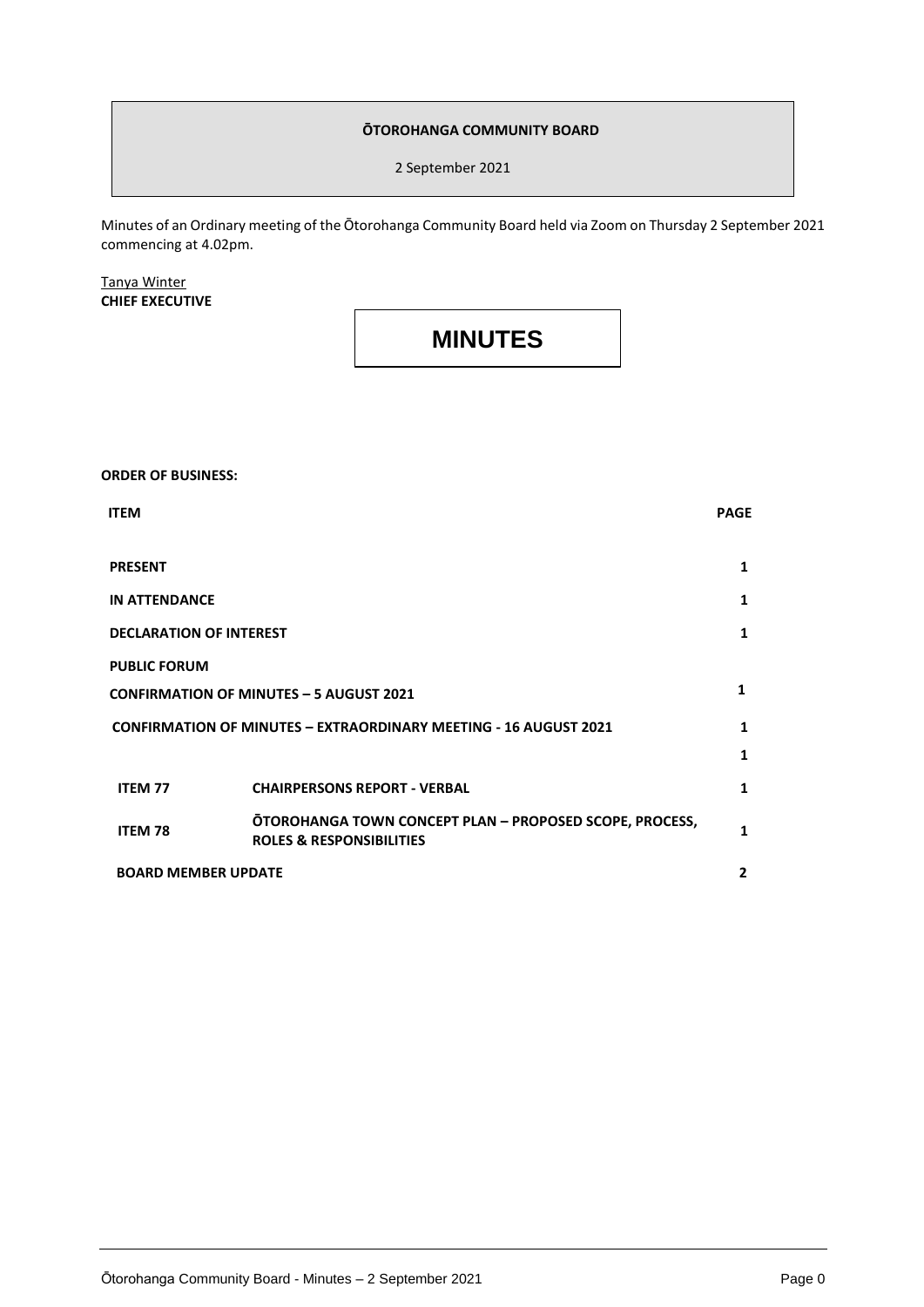#### **ŌTOROHANGA COMMUNITY BOARD**

2 September 2021

Minutes of an Ordinary meeting of the Ōtorohanga Community Board held via Zoom on Thursday 2 September 2021 commencing at 4.02pm.

#### Tanya Winter **CHIEF EXECUTIVE**

### **MINUTES**

#### **ORDER OF BUSINESS:**

| <b>ITEM</b>                                                             |                                                                                                | <b>PAGE</b>    |
|-------------------------------------------------------------------------|------------------------------------------------------------------------------------------------|----------------|
| <b>PRESENT</b>                                                          |                                                                                                | 1              |
| <b>IN ATTENDANCE</b>                                                    |                                                                                                | 1              |
| <b>DECLARATION OF INTEREST</b>                                          |                                                                                                | 1              |
| <b>PUBLIC FORUM</b>                                                     |                                                                                                |                |
| <b>CONFIRMATION OF MINUTES - 5 AUGUST 2021</b>                          |                                                                                                | 1              |
| <b>CONFIRMATION OF MINUTES - EXTRAORDINARY MEETING - 16 AUGUST 2021</b> |                                                                                                | 1              |
|                                                                         |                                                                                                | 1              |
| <b>ITEM 77</b>                                                          | <b>CHAIRPERSONS REPORT - VERBAL</b>                                                            | 1              |
| <b>ITEM 78</b>                                                          | OTOROHANGA TOWN CONCEPT PLAN - PROPOSED SCOPE, PROCESS,<br><b>ROLES &amp; RESPONSIBILITIES</b> | 1              |
| <b>BOARD MEMBER UPDATE</b>                                              |                                                                                                | $\overline{2}$ |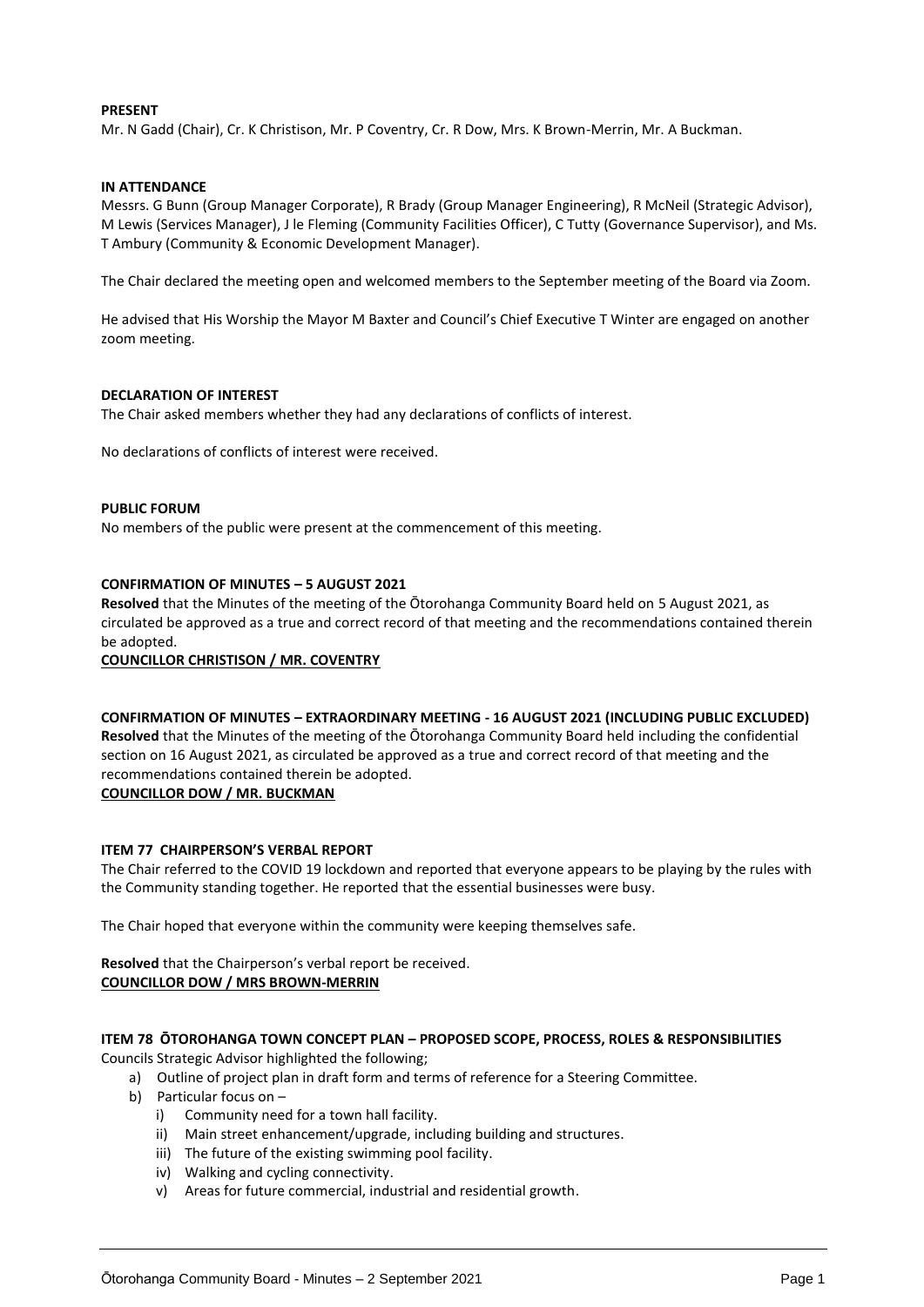#### **PRESENT**

Mr. N Gadd (Chair), Cr. K Christison, Mr. P Coventry, Cr. R Dow, Mrs. K Brown-Merrin, Mr. A Buckman.

#### **IN ATTENDANCE**

Messrs. G Bunn (Group Manager Corporate), R Brady (Group Manager Engineering), R McNeil (Strategic Advisor), M Lewis (Services Manager), J le Fleming (Community Facilities Officer), C Tutty (Governance Supervisor), and Ms. T Ambury (Community & Economic Development Manager).

The Chair declared the meeting open and welcomed members to the September meeting of the Board via Zoom.

He advised that His Worship the Mayor M Baxter and Council's Chief Executive T Winter are engaged on another zoom meeting.

#### **DECLARATION OF INTEREST**

The Chair asked members whether they had any declarations of conflicts of interest.

No declarations of conflicts of interest were received.

#### **PUBLIC FORUM**

No members of the public were present at the commencement of this meeting.

#### **CONFIRMATION OF MINUTES – 5 AUGUST 2021**

**Resolved** that the Minutes of the meeting of the Ōtorohanga Community Board held on 5 August 2021, as circulated be approved as a true and correct record of that meeting and the recommendations contained therein be adopted.

#### **COUNCILLOR CHRISTISON / MR. COVENTRY**

#### **CONFIRMATION OF MINUTES – EXTRAORDINARY MEETING - 16 AUGUST 2021 (INCLUDING PUBLIC EXCLUDED)**

**Resolved** that the Minutes of the meeting of the Ōtorohanga Community Board held including the confidential section on 16 August 2021, as circulated be approved as a true and correct record of that meeting and the recommendations contained therein be adopted.

#### **COUNCILLOR DOW / MR. BUCKMAN**

#### **ITEM 77 CHAIRPERSON'S VERBAL REPORT**

The Chair referred to the COVID 19 lockdown and reported that everyone appears to be playing by the rules with the Community standing together. He reported that the essential businesses were busy.

The Chair hoped that everyone within the community were keeping themselves safe.

#### **Resolved** that the Chairperson's verbal report be received. **COUNCILLOR DOW / MRS BROWN-MERRIN**

#### **ITEM 78 ŌTOROHANGA TOWN CONCEPT PLAN – PROPOSED SCOPE, PROCESS, ROLES & RESPONSIBILITIES**

Councils Strategic Advisor highlighted the following;

- a) Outline of project plan in draft form and terms of reference for a Steering Committee.
- b) Particular focus on
	- i) Community need for a town hall facility.
	- ii) Main street enhancement/upgrade, including building and structures.
	- iii) The future of the existing swimming pool facility.
	- iv) Walking and cycling connectivity.
	- v) Areas for future commercial, industrial and residential growth.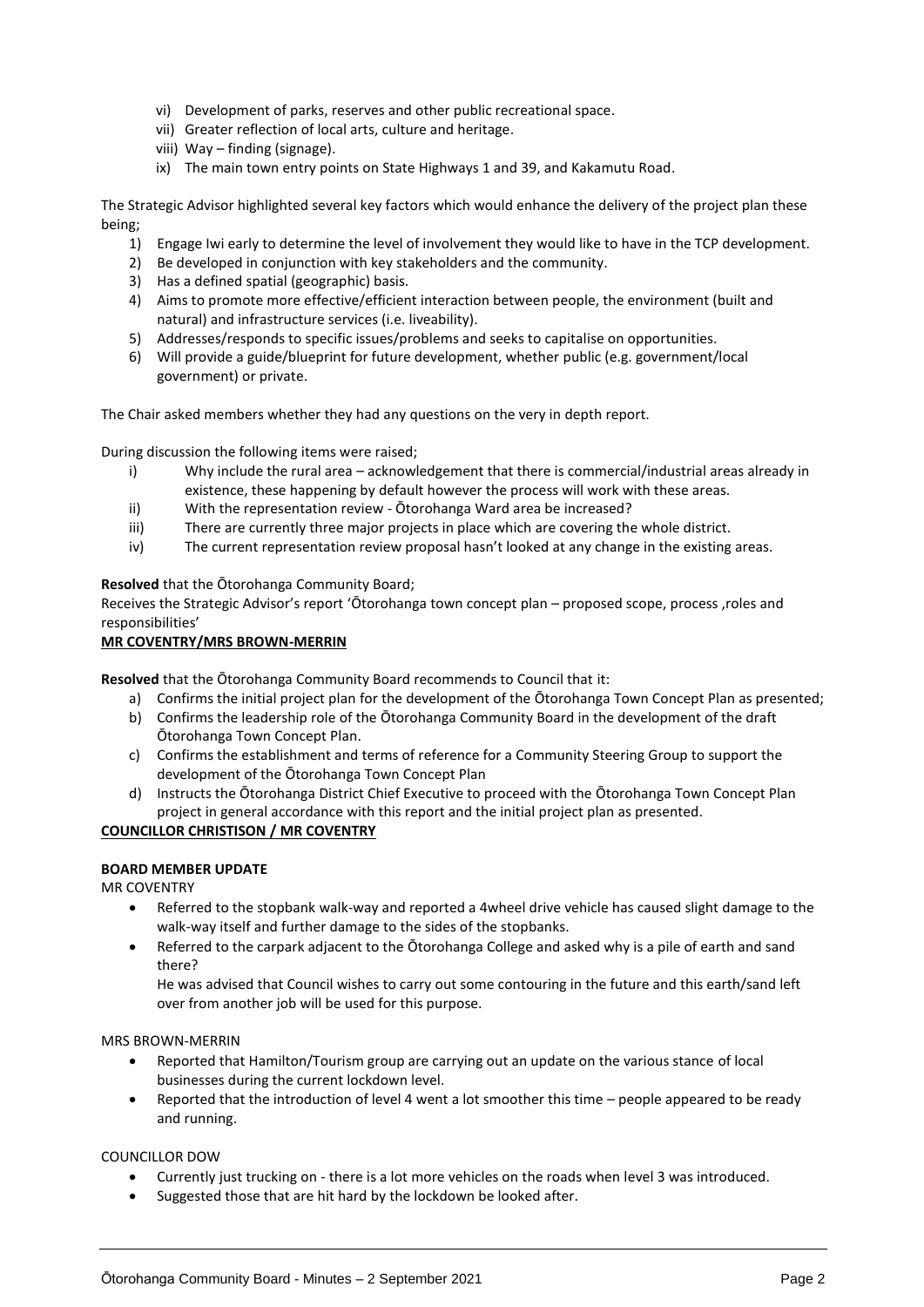- vi) Development of parks, reserves and other public recreational space.
- vii) Greater reflection of local arts, culture and heritage.
- viii) Way finding (signage).
- ix) The main town entry points on State Highways 1 and 39, and Kakamutu Road.

The Strategic Advisor highlighted several key factors which would enhance the delivery of the project plan these being;

- 1) Engage Iwi early to determine the level of involvement they would like to have in the TCP development.
- 2) Be developed in conjunction with key stakeholders and the community.
- 3) Has a defined spatial (geographic) basis.
- 4) Aims to promote more effective/efficient interaction between people, the environment (built and natural) and infrastructure services (i.e. liveability).
- 5) Addresses/responds to specific issues/problems and seeks to capitalise on opportunities.
- 6) Will provide a guide/blueprint for future development, whether public (e.g. government/local government) or private.

The Chair asked members whether they had any questions on the very in depth report.

During discussion the following items were raised;

- i) Why include the rural area acknowledgement that there is commercial/industrial areas already in existence, these happening by default however the process will work with these areas.
- ii) With the representation review Ōtorohanga Ward area be increased?
- iii) There are currently three major projects in place which are covering the whole district.
- iv) The current representation review proposal hasn't looked at any change in the existing areas.

**Resolved** that the Ōtorohanga Community Board;

Receives the Strategic Advisor's report 'Ōtorohanga town concept plan – proposed scope, process ,roles and responsibilities'

#### **MR COVENTRY/MRS BROWN-MERRIN**

**Resolved** that the Ōtorohanga Community Board recommends to Council that it:

- a) Confirms the initial project plan for the development of the Ōtorohanga Town Concept Plan as presented;
- b) Confirms the leadership role of the Ōtorohanga Community Board in the development of the draft Ōtorohanga Town Concept Plan.
- c) Confirms the establishment and terms of reference for a Community Steering Group to support the development of the Ōtorohanga Town Concept Plan
- d) Instructs the Ōtorohanga District Chief Executive to proceed with the Ōtorohanga Town Concept Plan project in general accordance with this report and the initial project plan as presented.

#### **COUNCILLOR CHRISTISON / MR COVENTRY**

#### **BOARD MEMBER UPDATE**

MR COVENTRY

- Referred to the stopbank walk-way and reported a 4wheel drive vehicle has caused slight damage to the walk-way itself and further damage to the sides of the stopbanks.
- Referred to the carpark adjacent to the Ōtorohanga College and asked why is a pile of earth and sand there?

He was advised that Council wishes to carry out some contouring in the future and this earth/sand left over from another job will be used for this purpose.

#### MRS BROWN-MERRIN

- Reported that Hamilton/Tourism group are carrying out an update on the various stance of local businesses during the current lockdown level.
- Reported that the introduction of level 4 went a lot smoother this time people appeared to be ready and running.

COUNCILLOR DOW

- Currently just trucking on there is a lot more vehicles on the roads when level 3 was introduced.
- Suggested those that are hit hard by the lockdown be looked after.